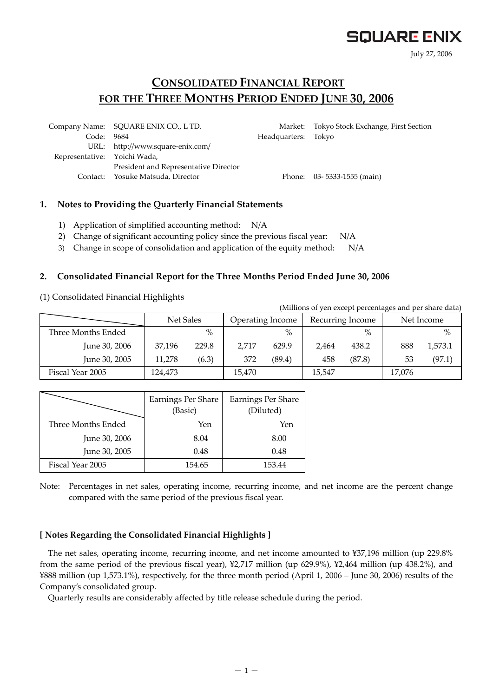# **SQUARE ENIX**

July 27, 2006

## **CONSOLIDATED FINANCIAL REPORT FOR THE THREE MONTHS PERIOD ENDED JUNE 30, 2006**

 Company Name: SQUARE ENIX CO., L TD. Market: Tokyo Stock Exchange, First Section Code: 9684 Headquarters: Tokyo URL: http://www.square-enix.com/ Representative: Yoichi Wada, President and Representative Director Contact: Yosuke Matsuda, Director Phone: 03- 5333-1555 (main)

### **1. Notes to Providing the Quarterly Financial Statements**

- 1) Application of simplified accounting method: N/A
- 2) Change of significant accounting policy since the previous fiscal year: N/A
- 3) Change in scope of consolidation and application of the equity method: N/A

### **2. Consolidated Financial Report for the Three Months Period Ended June 30, 2006**

(1) Consolidated Financial Highlights

(Millions of yen except percentages and per share data)

|                    | Net Sales |       | Operating Income |               |        | Recurring Income |        | Net Income |
|--------------------|-----------|-------|------------------|---------------|--------|------------------|--------|------------|
| Three Months Ended |           | $\%$  |                  | $\frac{0}{0}$ |        | $\%$             |        | $\%$       |
| June 30, 2006      | 37.196    | 229.8 | 2.717            | 629.9         | 2.464  | 438.2            | 888    | 1,573.1    |
| June 30, 2005      | 11,278    | (6.3) | 372              | (89.4)        | 458    | (87.8)           | 53     | (97.1)     |
| Fiscal Year 2005   | 124.473   |       | 15,470           |               | 15,547 |                  | 17,076 |            |

|                    | Earnings Per Share<br>(Basic) | Earnings Per Share<br>(Diluted) |
|--------------------|-------------------------------|---------------------------------|
| Three Months Ended | Yen                           | Yen                             |
| June 30, 2006      | 8.04                          | 8.00                            |
| June 30, 2005      | 0.48                          | 0.48                            |
| Fiscal Year 2005   | 154.65                        | 153.44                          |

Note: Percentages in net sales, operating income, recurring income, and net income are the percent change compared with the same period of the previous fiscal year.

### **[ Notes Regarding the Consolidated Financial Highlights ]**

The net sales, operating income, recurring income, and net income amounted to ¥37,196 million (up 229.8% from the same period of the previous fiscal year), ¥2,717 million (up 629.9%), ¥2,464 million (up 438.2%), and ¥888 million (up 1,573.1%), respectively, for the three month period (April 1, 2006 – June 30, 2006) results of the Company's consolidated group.

Quarterly results are considerably affected by title release schedule during the period.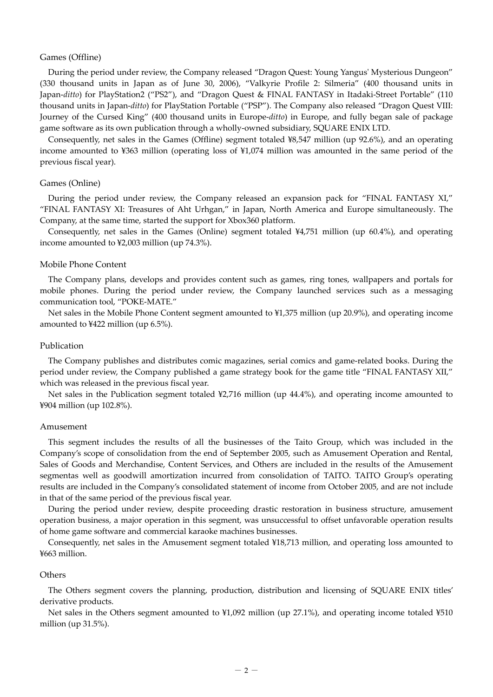#### Games (Offline)

During the period under review, the Company released "Dragon Quest: Young Yangus' Mysterious Dungeon" (330 thousand units in Japan as of June 30, 2006), "Valkyrie Profile 2: Silmeria" (400 thousand units in Japan-*ditto*) for PlayStation2 ("PS2"), and "Dragon Quest & FINAL FANTASY in Itadaki-Street Portable" (110 thousand units in Japan-*ditto*) for PlayStation Portable ("PSP"). The Company also released "Dragon Quest VIII: Journey of the Cursed King" (400 thousand units in Europe-*ditto*) in Europe, and fully began sale of package game software as its own publication through a wholly-owned subsidiary, SQUARE ENIX LTD.

Consequently, net sales in the Games (Offline) segment totaled ¥8,547 million (up 92.6%), and an operating income amounted to ¥363 million (operating loss of ¥1,074 million was amounted in the same period of the previous fiscal year).

#### Games (Online)

During the period under review, the Company released an expansion pack for "FINAL FANTASY XI," "FINAL FANTASY XI: Treasures of Aht Urhgan," in Japan, North America and Europe simultaneously. The Company, at the same time, started the support for Xbox360 platform.

Consequently, net sales in the Games (Online) segment totaled ¥4,751 million (up 60.4%), and operating income amounted to ¥2,003 million (up 74.3%).

#### Mobile Phone Content

The Company plans, develops and provides content such as games, ring tones, wallpapers and portals for mobile phones. During the period under review, the Company launched services such as a messaging communication tool, "POKE-MATE."

Net sales in the Mobile Phone Content segment amounted to ¥1,375 million (up 20.9%), and operating income amounted to ¥422 million (up 6.5%).

#### Publication

The Company publishes and distributes comic magazines, serial comics and game-related books. During the period under review, the Company published a game strategy book for the game title "FINAL FANTASY XII," which was released in the previous fiscal year.

Net sales in the Publication segment totaled ¥2,716 million (up 44.4%), and operating income amounted to ¥904 million (up 102.8%).

#### Amusement

This segment includes the results of all the businesses of the Taito Group, which was included in the Company's scope of consolidation from the end of September 2005, such as Amusement Operation and Rental, Sales of Goods and Merchandise, Content Services, and Others are included in the results of the Amusement segmentas well as goodwill amortization incurred from consolidation of TAITO. TAITO Group's operating results are included in the Company's consolidated statement of income from October 2005, and are not include in that of the same period of the previous fiscal year.

During the period under review, despite proceeding drastic restoration in business structure, amusement operation business, a major operation in this segment, was unsuccessful to offset unfavorable operation results of home game software and commercial karaoke machines businesses.

Consequently, net sales in the Amusement segment totaled ¥18,713 million, and operating loss amounted to ¥663 million.

#### **Others**

The Others segment covers the planning, production, distribution and licensing of SQUARE ENIX titles' derivative products.

Net sales in the Others segment amounted to ¥1,092 million (up 27.1%), and operating income totaled ¥510 million (up 31.5%).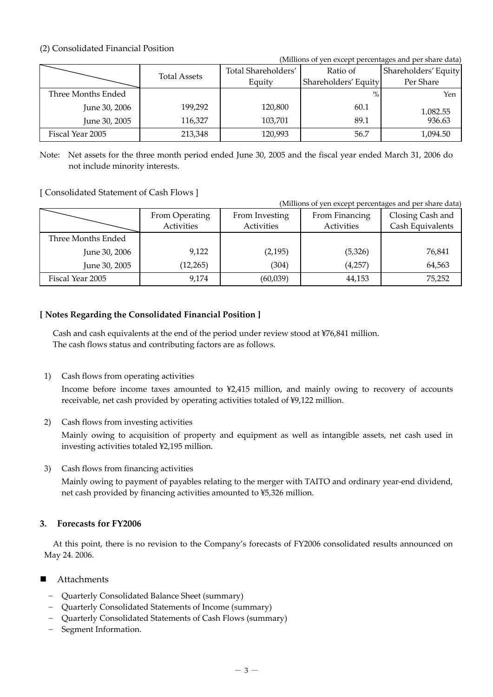## (2) Consolidated Financial Position

(Millions of yen except percentages and per share data)

|                    |                     | Total Shareholders' | Ratio of             | Shareholders' Equity |
|--------------------|---------------------|---------------------|----------------------|----------------------|
|                    | <b>Total Assets</b> | Equity              | Shareholders' Equity | Per Share            |
| Three Months Ended |                     |                     | $\%$                 | Yen                  |
| June 30, 2006      | 199,292             | 120,800             | 60.1                 | 1.082.55             |
| June 30, 2005      | 116.327             | 103.701             | 89.1                 | 936.63               |
| Fiscal Year 2005   | 213,348             | 120,993             | 56.7                 | 1,094.50             |

Note: Net assets for the three month period ended June 30, 2005 and the fiscal year ended March 31, 2006 do not include minority interests.

## [ Consolidated Statement of Cash Flows ]

|                    | (Millions of yen except percentages and per share data) |                |                |                  |  |  |  |  |
|--------------------|---------------------------------------------------------|----------------|----------------|------------------|--|--|--|--|
|                    | From Operating                                          | From Investing | From Financing | Closing Cash and |  |  |  |  |
|                    | Activities                                              | Activities     | Activities     | Cash Equivalents |  |  |  |  |
| Three Months Ended |                                                         |                |                |                  |  |  |  |  |
| June 30, 2006      | 9,122                                                   | (2, 195)       | (5,326)        | 76,841           |  |  |  |  |
| June 30, 2005      | (12, 265)                                               | (304)          | (4,257)        | 64,563           |  |  |  |  |
| Fiscal Year 2005   | 9,174                                                   | (60,039)       | 44,153         | 75,252           |  |  |  |  |

## **[ Notes Regarding the Consolidated Financial Position ]**

Cash and cash equivalents at the end of the period under review stood at ¥76,841 million. The cash flows status and contributing factors are as follows.

1) Cash flows from operating activities

Income before income taxes amounted to ¥2,415 million, and mainly owing to recovery of accounts receivable, net cash provided by operating activities totaled of ¥9,122 million.

2) Cash flows from investing activities

Mainly owing to acquisition of property and equipment as well as intangible assets, net cash used in investing activities totaled ¥2,195 million.

3) Cash flows from financing activities

Mainly owing to payment of payables relating to the merger with TAITO and ordinary year-end dividend, net cash provided by financing activities amounted to ¥5,326 million.

## **3. Forecasts for FY2006**

At this point, there is no revision to the Company's forecasts of FY2006 consolidated results announced on May 24. 2006.

- Attachments
	- Quarterly Consolidated Balance Sheet (summary)
	- Quarterly Consolidated Statements of Income (summary)
	- Quarterly Consolidated Statements of Cash Flows (summary)
	- Segment Information.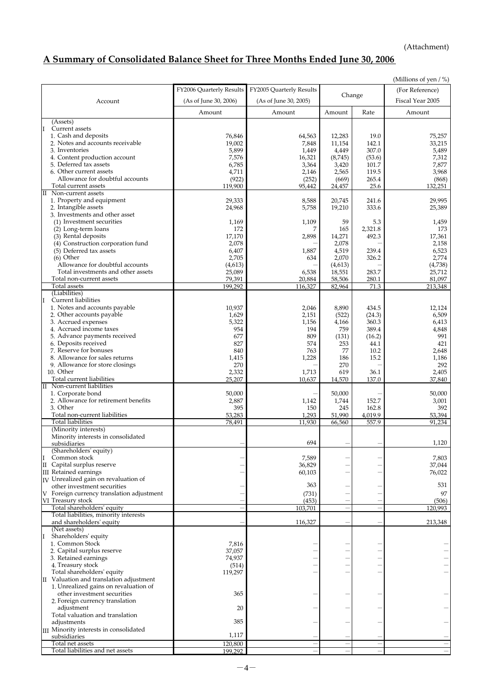(Attachment)

# **A Summary of Consolidated Balance Sheet for Three Months Ended June 30, 2006**

|                                                           |                          |                          |                  |                          | (Millions of yen / %)    |
|-----------------------------------------------------------|--------------------------|--------------------------|------------------|--------------------------|--------------------------|
|                                                           | FY2006 Quarterly Results | FY2005 Quarterly Results |                  |                          | (For Reference)          |
| Account                                                   | (As of June 30, 2006)    | (As of June 30, 2005)    | Change           |                          | Fiscal Year 2005         |
|                                                           |                          |                          |                  |                          |                          |
|                                                           | Amount                   | Amount                   | Amount           | Rate                     | Amount                   |
| (Assets)<br>I<br>Current assets                           |                          |                          |                  |                          |                          |
| 1. Cash and deposits                                      | 76,846                   | 64,563                   | 12,283           | 19.0                     | 75,257                   |
| 2. Notes and accounts receivable                          | 19,002                   | 7,848                    | 11,154           | 142.1                    | 33,215                   |
| 3. Inventories                                            | 5,899                    | 1,449                    | 4,449            | 307.0                    | 5,489                    |
| 4. Content production account                             | 7,576                    | 16,321                   | (8,745)          | (53.6)                   | 7,312                    |
| 5. Deferred tax assets                                    | 6,785                    | 3,364                    | 3,420            | 101.7                    | 7,877                    |
| 6. Other current assets                                   | 4,711                    | 2,146                    | 2,565            | 119.5                    | 3,968                    |
| Allowance for doubtful accounts                           | (922)                    | (252)                    | (669)            | 265.4                    | (868)                    |
| Total current assets<br>Non-current assets<br>П           | 119,900                  | 95,442                   | 24,457           | 25.6                     | 132,251                  |
| 1. Property and equipment                                 | 29,333                   | 8,588                    | 20,745           | 241.6                    | 29,995                   |
| 2. Intangible assets                                      | 24,968                   | 5,758                    | 19,210           | 333.6                    | 25,389                   |
| 3. Investments and other asset                            |                          |                          |                  |                          |                          |
| (1) Investment securities                                 | 1,169                    | 1,109                    | 59               | 5.3                      | 1,459                    |
| (2) Long-term loans                                       | 172                      |                          | 165              | 2,321.8                  | 173                      |
| (3) Rental deposits                                       | 17,170                   | 2,898                    | 14,271           | 492.3                    | 17,361                   |
| (4) Construction corporation fund                         | 2,078                    |                          | 2,078            |                          | 2,158                    |
| (5) Deferred tax assets<br>$(6)$ Other                    | 6,407                    | 1,887                    | 4,519            | 239.4                    | 6,523                    |
| Allowance for doubtful accounts                           | 2,705<br>(4, 613)        | 634                      | 2,070<br>(4,613) | 326.2                    | 2,774<br>(4,738)         |
| Total investments and other assets                        | 25,089                   | 6,538                    | 18,551           | 283.7                    | 25,712                   |
| Total non-current assets                                  | 79,391                   | 20,884                   | 58,506           | 280.1                    | 81,097                   |
| Total assets                                              | 199,292                  | 116,327                  | 82,964           | 71.3                     | 213.348                  |
| (Liabilities)                                             |                          |                          |                  |                          |                          |
| I<br><b>Current liabilities</b>                           |                          |                          |                  |                          |                          |
| 1. Notes and accounts payable                             | 10,937                   | 2,046                    | 8,890            | 434.5                    | 12,124                   |
| 2. Other accounts payable                                 | 1,629                    | 2,151                    | (522)            | (24.3)                   | 6,509                    |
| 3. Accrued expenses<br>4. Accrued income taxes            | 5,322<br>954             | 1,156<br>194             | 4,166<br>759     | 360.3<br>389.4           | 6,413<br>4,848           |
| 5. Advance payments received                              | 677                      | 809                      | (131)            | (16.2)                   | 991                      |
| 6. Deposits received                                      | 827                      | 574                      | 253              | 44.1                     | 421                      |
| 7. Reserve for bonuses                                    | 840                      | 763                      | 77               | 10.2                     | 2,648                    |
| 8. Allowance for sales returns                            | 1,415                    | 1,228                    | 186              | 15.2                     | 1,186                    |
| 9. Allowance for store closings                           | 270                      |                          | 270              |                          | 292                      |
| 10. Other                                                 | 2,332                    | 1,713                    | 619              | 36.1                     | 2,405                    |
| Total current liabilities                                 | 25,207                   | 10,637                   | 14,570           | 137.0                    | 37,840                   |
| Non-current liabilities<br>$\rm{II}$                      |                          |                          |                  |                          |                          |
| 1. Corporate bond<br>2. Allowance for retirement benefits | 50,000<br>2,887          | 1,142                    | 50,000<br>1,744  | 152.7                    | 50,000<br>3,001          |
| 3. Other                                                  | 395                      | 150                      | 245              | 162.8                    | 392                      |
| Total non-current liabilities                             | 53,283                   | 1,293                    | 51,990           | 4,019.9                  | 53,394                   |
| <b>Total liabilities</b>                                  | 78,491                   | 11,930                   | 66,560           | 557.9                    | 91,234                   |
| (Minority interests)                                      |                          |                          |                  |                          |                          |
| Minority interests in consolidated                        |                          |                          |                  |                          |                          |
| subsidiaries                                              |                          | 694                      |                  |                          | 1,120                    |
| (Shareholders' equity)<br>Common stock                    |                          |                          |                  |                          |                          |
| I<br>II Capital surplus reserve                           |                          | 7,589<br>36,829          |                  |                          | 7,803<br>37,044          |
| III Retained earnings                                     |                          | 60,103                   |                  |                          | 76,022                   |
| IV Unrealized gain on revaluation of                      |                          |                          |                  |                          |                          |
| other investment securities                               |                          | 363                      |                  |                          | 531                      |
| V Foreign currency translation adjustment                 |                          | (731)                    |                  |                          | 97                       |
| VI Treasury stock                                         |                          | (453)                    |                  |                          | (506)                    |
| Total shareholders' equity                                |                          | 103,701                  |                  |                          | 120,993                  |
| Total liabilities, minority interests                     |                          |                          |                  |                          |                          |
| and shareholders' equity<br>(Net assets)                  |                          | 116,327                  |                  |                          | 213,348                  |
| Shareholders' equity<br>I                                 |                          |                          |                  |                          |                          |
| 1. Common Stock                                           | 7,816                    |                          |                  |                          |                          |
| 2. Capital surplus reserve                                | 37,057                   |                          |                  |                          |                          |
| 3. Retained earnings                                      | 74,937                   |                          |                  |                          |                          |
| 4. Treasury stock                                         | (514)                    |                          |                  |                          |                          |
| Total shareholders' equity                                | 119,297                  |                          |                  |                          |                          |
| II Valuation and translation adjustment                   |                          |                          |                  |                          |                          |
| 1. Unrealized gains on revaluation of                     |                          |                          |                  |                          |                          |
| other investment securities                               | 365                      |                          |                  |                          |                          |
| 2. Foreign currency translation<br>adjustment             | 20                       |                          |                  |                          |                          |
| Total valuation and translation                           |                          |                          |                  |                          |                          |
| adjustments                                               | 385                      |                          |                  |                          |                          |
| III Minority interests in consolidated                    |                          |                          |                  |                          |                          |
| subsidiaries                                              | 1,117                    |                          |                  |                          |                          |
| Total net assets                                          | 120,800                  |                          | ÷                | $\overline{\phantom{a}}$ | $\overline{\phantom{m}}$ |
| Total liabilities and net assets                          | 199,292                  |                          |                  |                          |                          |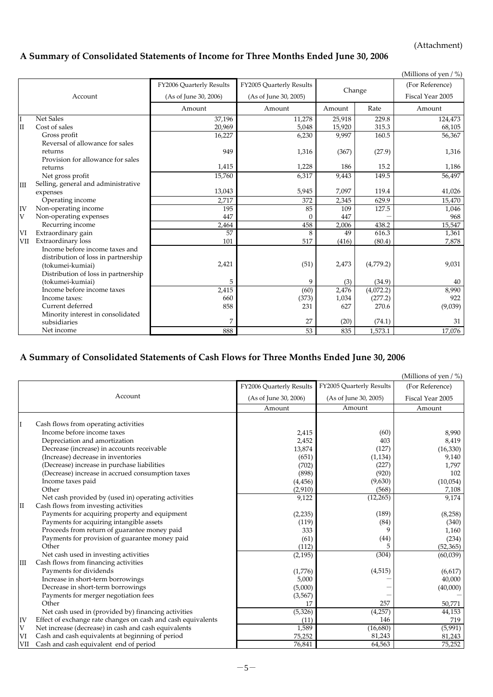(Attachment)

## **A Summary of Consolidated Statements of Income for Three Months Ended June 30, 2006**

|     |                                                   |                          |                          |        |           | (Millions of yen $/$ %) |
|-----|---------------------------------------------------|--------------------------|--------------------------|--------|-----------|-------------------------|
|     |                                                   | FY2006 Quarterly Results | FY2005 Quarterly Results |        |           | (For Reference)         |
|     | Account                                           | (As of June 30, 2006)    | (As of June 30, 2005)    | Change |           | Fiscal Year 2005        |
|     |                                                   | Amount                   | Amount                   | Amount | Rate      | Amount                  |
| I   | <b>Net Sales</b>                                  | 37,196                   | 11,278                   | 25,918 | 229.8     | 124,473                 |
| II  | Cost of sales                                     | 20,969                   | 5,048                    | 15,920 | 315.3     | 68,105                  |
|     | Gross profit                                      | 16,227                   | 6,230                    | 9,997  | 160.5     | 56,367                  |
|     | Reversal of allowance for sales                   |                          |                          |        |           |                         |
|     | returns                                           | 949                      | 1,316                    | (367)  | (27.9)    | 1,316                   |
|     | Provision for allowance for sales                 |                          |                          |        |           |                         |
|     | returns                                           | 1,415                    | 1,228                    | 186    | 15.2      | 1,186                   |
|     | Net gross profit                                  | 15,760                   | 6,317                    | 9,443  | 149.5     | 56,497                  |
| Ш   | Selling, general and administrative               |                          |                          |        |           |                         |
|     | expenses                                          | 13,043                   | 5,945                    | 7,097  | 119.4     | 41,026                  |
|     | Operating income                                  | 2,717                    | 372                      | 2,345  | 629.9     | 15,470                  |
| IV  | Non-operating income                              | 195                      | 85                       | 109    | 127.5     | 1,046                   |
| V   | Non-operating expenses                            | 447                      | $\Omega$                 | 447    |           | 968                     |
|     | Recurring income                                  | 2,464                    | 458                      | 2,006  | 438.2     | 15,547                  |
| VI  | Extraordinary gain                                | 57                       | 8                        | 49     | 616.3     | 1,361                   |
| VII | Extraordinary loss                                | 101                      | 517                      | (416)  | (80.4)    | 7,878                   |
|     | Income before income taxes and                    |                          |                          |        |           |                         |
|     | distribution of loss in partnership               | 2,421                    | (51)                     | 2,473  | (4,779.2) | 9,031                   |
|     | (tokumei-kumiai)                                  |                          |                          |        |           |                         |
|     | Distribution of loss in partnership               |                          |                          |        |           |                         |
|     | (tokumei-kumiai)<br>Income before income taxes    | 5                        | 9                        | (3)    | (34.9)    | 40                      |
|     |                                                   | 2,415                    | (60)                     | 2,476  | (4,072.2) | 8,990                   |
|     | Income taxes:<br>Current deferred                 | 660                      | (373)                    | 1,034  | (277.2)   | 922                     |
|     |                                                   | 858                      | 231                      | 627    | 270.6     | (9,039)                 |
|     | Minority interest in consolidated<br>subsidiaries |                          | 27                       | (20)   | (74.1)    | 31                      |
|     | Net income                                        | 888                      | 53                       | 835    | 1,573.1   | 17,076                  |
|     |                                                   |                          |                          |        |           |                         |

## **A Summary of Consolidated Statements of Cash Flows for Three Months Ended June 30, 2006**

|             | Account<br>Cash flows from operating activities<br>Income before income taxes<br>Depreciation and amortization | FY2006 Quarterly Results<br>(As of June 30, 2006)<br>Amount<br>2,415 | FY2005 Quarterly Results<br>(As of June 30, 2005)<br>Amount | (For Reference)<br>Fiscal Year 2005<br>Amount |
|-------------|----------------------------------------------------------------------------------------------------------------|----------------------------------------------------------------------|-------------------------------------------------------------|-----------------------------------------------|
|             |                                                                                                                |                                                                      |                                                             |                                               |
|             |                                                                                                                |                                                                      |                                                             |                                               |
|             |                                                                                                                |                                                                      |                                                             |                                               |
|             |                                                                                                                |                                                                      |                                                             |                                               |
|             |                                                                                                                |                                                                      |                                                             |                                               |
|             |                                                                                                                |                                                                      | (60)                                                        | 8,990                                         |
|             |                                                                                                                | 2,452                                                                | 403                                                         | 8,419                                         |
|             | Decrease (increase) in accounts receivable                                                                     | 13,874                                                               | (127)                                                       | (16, 330)                                     |
|             | (Increase) decrease in inventories                                                                             | (651)                                                                | (1, 134)                                                    | 9,140                                         |
|             | (Decrease) increase in purchase liabilities                                                                    | (702)                                                                | (227)                                                       | 1,797                                         |
|             | (Decrease) increase in accrued consumption taxes                                                               | (898)                                                                | (920)                                                       | 102                                           |
|             | Income taxes paid                                                                                              | (4, 456)                                                             | (9,630)                                                     | (10,054)                                      |
|             | Other                                                                                                          | (2,910)                                                              | (568)                                                       | 7,108                                         |
|             | Net cash provided by (used in) operating activities                                                            | 9,122                                                                | (12, 265)                                                   | 9,174                                         |
| II          | Cash flows from investing activities                                                                           |                                                                      |                                                             |                                               |
|             | Payments for acquiring property and equipment                                                                  | (2, 235)                                                             | (189)                                                       | (8, 258)                                      |
|             | Payments for acquiring intangible assets                                                                       | (119)                                                                | (84)                                                        | (340)                                         |
|             | Proceeds from return of guarantee money paid                                                                   | 333                                                                  | 9                                                           | 1,160                                         |
|             | Payments for provision of guarantee money paid                                                                 | (61)                                                                 | (44)                                                        | (234)                                         |
|             | Other                                                                                                          | (112)                                                                |                                                             | (52, 365)                                     |
|             | Net cash used in investing activities                                                                          | (2, 195)                                                             | (304)                                                       | (60,039)                                      |
| III         | Cash flows from financing activities                                                                           |                                                                      |                                                             |                                               |
|             | Payments for dividends                                                                                         | (1,776)                                                              | (4, 515)                                                    | (6,617)                                       |
|             | Increase in short-term borrowings                                                                              | 5,000                                                                |                                                             | 40,000                                        |
|             | Decrease in short-term borrowings                                                                              | (5,000)                                                              |                                                             | (40,000)                                      |
|             | Payments for merger negotiation fees                                                                           | (3, 567)                                                             |                                                             |                                               |
|             | Other                                                                                                          | 17                                                                   | 257                                                         | 50,771                                        |
|             | Net cash used in (provided by) financing activities                                                            | (5, 326)                                                             | (4,257)                                                     | 44,153                                        |
| IV          | Effect of exchange rate changes on cash and cash equivalents                                                   | (11)                                                                 | 146                                                         | 719                                           |
| $\mathbf V$ | Net increase (decrease) in cash and cash equivalents                                                           | 1,589                                                                | (16,680)                                                    | (5,991)                                       |
| VI          | Cash and cash equivalents at beginning of period                                                               | 75,252                                                               | 81,243                                                      | 81,243                                        |
| <b>VII</b>  | Cash and cash equivalent end of period                                                                         | 76,841                                                               | 64,563                                                      | 75,252                                        |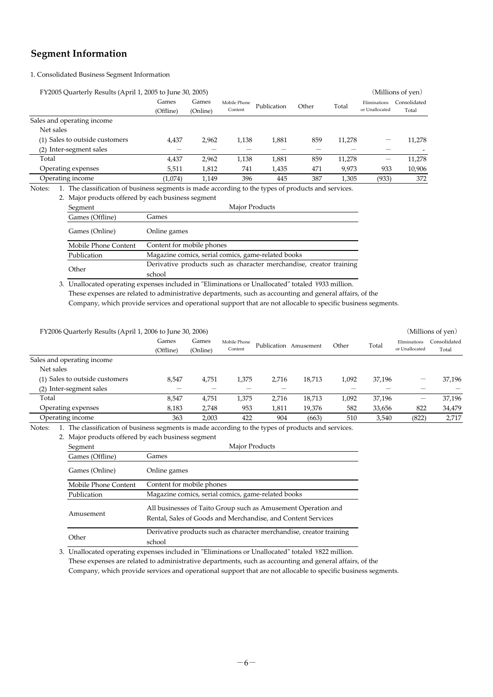## **Segment Information**

1. Consolidated Business Segment Information

| FY2005 Quarterly Results (April 1, 2005 to June 30, 2005)                                                     |                    |                   |                         |             |       |        |                                | (Millions of yen)     |
|---------------------------------------------------------------------------------------------------------------|--------------------|-------------------|-------------------------|-------------|-------|--------|--------------------------------|-----------------------|
|                                                                                                               | Games<br>(Offline) | Games<br>(Online) | Mobile Phone<br>Content | Publication | Other | Total  | Eliminations<br>or Unallocated | Consolidated<br>Total |
| Sales and operating income                                                                                    |                    |                   |                         |             |       |        |                                |                       |
| Net sales                                                                                                     |                    |                   |                         |             |       |        |                                |                       |
| (1) Sales to outside customers                                                                                | 4,437              | 2.962             | 1,138                   | 1,881       | 859   | 11,278 |                                | 11,278                |
| Inter-segment sales<br>(2)                                                                                    |                    |                   |                         |             |       |        |                                |                       |
| Total                                                                                                         | 4,437              | 2,962             | 1,138                   | 1,881       | 859   | 11,278 |                                | 11,278                |
| Operating expenses                                                                                            | 5,511              | 1,812             | 741                     | 1,435       | 471   | 9,973  | 933                            | 10,906                |
| Operating income                                                                                              | (1,074)            | 1.149             | 396                     | 445         | 387   | 1.305  | (933)                          | 372                   |
| 1. The classification of business segments is made according to the types of products and services.<br>Notes: |                    |                   |                         |             |       |        |                                |                       |

|                      | 2. Major products offered by each business segment                  |
|----------------------|---------------------------------------------------------------------|
| Segment              | Major Products                                                      |
| Games (Offline)      | Games                                                               |
| Games (Online)       | Online games                                                        |
| Mobile Phone Content | Content for mobile phones                                           |
| Publication          | Magazine comics, serial comics, game-related books                  |
| Other                | Derivative products such as character merchandise, creator training |
|                      | school                                                              |

3. Unallocated operating expenses included in "Eliminations or Unallocated" totaled \933 million. These expenses are related to administrative departments, such as accounting and general affairs, of the

Company, which provide services and operational support that are not allocable to specific business segments.

| FY2006 Quarterly Results (April 1, 2006 to June 30, 2006)                                                  |                    |                   |                         |       |                       |       |        |                                | (Millions of yen)     |
|------------------------------------------------------------------------------------------------------------|--------------------|-------------------|-------------------------|-------|-----------------------|-------|--------|--------------------------------|-----------------------|
|                                                                                                            | Games<br>(Offline) | Games<br>(Online) | Mobile Phone<br>Content |       | Publication Amusement | Other | Total  | Eliminations<br>or Unallocated | Consolidated<br>Total |
| Sales and operating income                                                                                 |                    |                   |                         |       |                       |       |        |                                |                       |
| Net sales                                                                                                  |                    |                   |                         |       |                       |       |        |                                |                       |
| (1) Sales to outside customers                                                                             | 8,547              | 4,751             | 1,375                   | 2.716 | 18,713                | 1,092 | 37,196 |                                | 37,196                |
| (2) Inter-segment sales                                                                                    |                    |                   |                         |       |                       |       |        |                                |                       |
| Total                                                                                                      | 8,547              | 4,751             | 1,375                   | 2.716 | 18,713                | 1,092 | 37,196 |                                | 37,196                |
| Operating expenses                                                                                         | 8,183              | 2,748             | 953                     | 1,811 | 19,376                | 582   | 33,656 | 822                            | 34,479                |
| Operating income                                                                                           | 363                | 2,003             | 422                     | 904   | (663)                 | 510   | 3,540  | (822)                          | 2,717                 |
| The classification of business segments is made according to the types of products and services.<br>Notes: |                    |                   |                         |       |                       |       |        |                                |                       |

2. Major products offered by each business segment

| Segment              | Major Products                                                                                                                |  |  |  |  |
|----------------------|-------------------------------------------------------------------------------------------------------------------------------|--|--|--|--|
| Games (Offline)      | Games                                                                                                                         |  |  |  |  |
| Games (Online)       | Online games                                                                                                                  |  |  |  |  |
| Mobile Phone Content | Content for mobile phones                                                                                                     |  |  |  |  |
| Publication          | Magazine comics, serial comics, game-related books                                                                            |  |  |  |  |
| Amusement            | All businesses of Taito Group such as Amusement Operation and<br>Rental, Sales of Goods and Merchandise, and Content Services |  |  |  |  |
| Other                | Derivative products such as character merchandise, creator training<br>school                                                 |  |  |  |  |

3. Unallocated operating expenses included in "Eliminations or Unallocated" totaled \822 million. These expenses are related to administrative departments, such as accounting and general affairs, of the Company, which provide services and operational support that are not allocable to specific business segments.